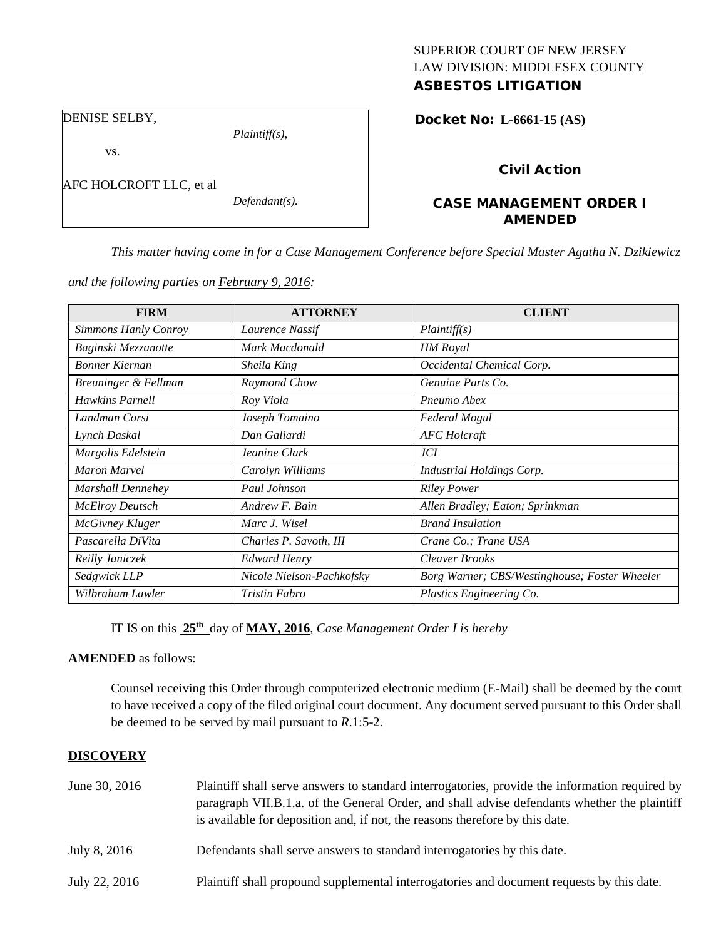# SUPERIOR COURT OF NEW JERSEY LAW DIVISION: MIDDLESEX COUNTY

## ASBESTOS LITIGATION

Docket No: **L-6661-15 (AS)** 

DENISE SELBY,

vs.

AFC HOLCROFT LLC, et al

*Plaintiff(s),*

*Defendant(s).*

# Civil Action

### CASE MANAGEMENT ORDER I AMENDED

*This matter having come in for a Case Management Conference before Special Master Agatha N. Dzikiewicz* 

*and the following parties on February 9, 2016:*

| <b>FIRM</b>            | <b>ATTORNEY</b>           | <b>CLIENT</b>                                 |
|------------------------|---------------------------|-----------------------------------------------|
| Simmons Hanly Conroy   | Laurence Nassif           | Plaintiff(s)                                  |
| Baginski Mezzanotte    | Mark Macdonald            | <b>HM</b> Royal                               |
| Bonner Kiernan         | Sheila King               | Occidental Chemical Corp.                     |
| Breuninger & Fellman   | Raymond Chow              | Genuine Parts Co.                             |
| <b>Hawkins Parnell</b> | Roy Viola                 | Pneumo Abex                                   |
| Landman Corsi          | Joseph Tomaino            | Federal Mogul                                 |
| Lynch Daskal           | Dan Galiardi              | <b>AFC</b> Holcraft                           |
| Margolis Edelstein     | Jeanine Clark             | JCI                                           |
| <b>Maron Marvel</b>    | Carolyn Williams          | <b>Industrial Holdings Corp.</b>              |
| Marshall Dennehey      | Paul Johnson              | <b>Riley Power</b>                            |
| <b>McElroy Deutsch</b> | Andrew F. Bain            | Allen Bradley; Eaton; Sprinkman               |
| <b>McGivney Kluger</b> | Marc J. Wisel             | <b>Brand Insulation</b>                       |
| Pascarella DiVita      | Charles P. Savoth, III    | Crane Co.; Trane USA                          |
| Reilly Janiczek        | <b>Edward Henry</b>       | Cleaver Brooks                                |
| Sedgwick LLP           | Nicole Nielson-Pachkofsky | Borg Warner; CBS/Westinghouse; Foster Wheeler |
| Wilbraham Lawler       | Tristin Fabro             | Plastics Engineering Co.                      |

IT IS on this **25th** day of **MAY, 2016**, *Case Management Order I is hereby*

#### **AMENDED** as follows:

Counsel receiving this Order through computerized electronic medium (E-Mail) shall be deemed by the court to have received a copy of the filed original court document. Any document served pursuant to this Order shall be deemed to be served by mail pursuant to *R*.1:5-2.

#### **DISCOVERY**

| June 30, 2016 | Plaintiff shall serve answers to standard interrogatories, provide the information required by<br>paragraph VII.B.1.a. of the General Order, and shall advise defendants whether the plaintiff<br>is available for deposition and, if not, the reasons therefore by this date. |  |
|---------------|--------------------------------------------------------------------------------------------------------------------------------------------------------------------------------------------------------------------------------------------------------------------------------|--|
| July 8, 2016  | Defendants shall serve answers to standard interrogatories by this date.                                                                                                                                                                                                       |  |
| July 22, 2016 | Plaintiff shall propound supplemental interrogatories and document requests by this date.                                                                                                                                                                                      |  |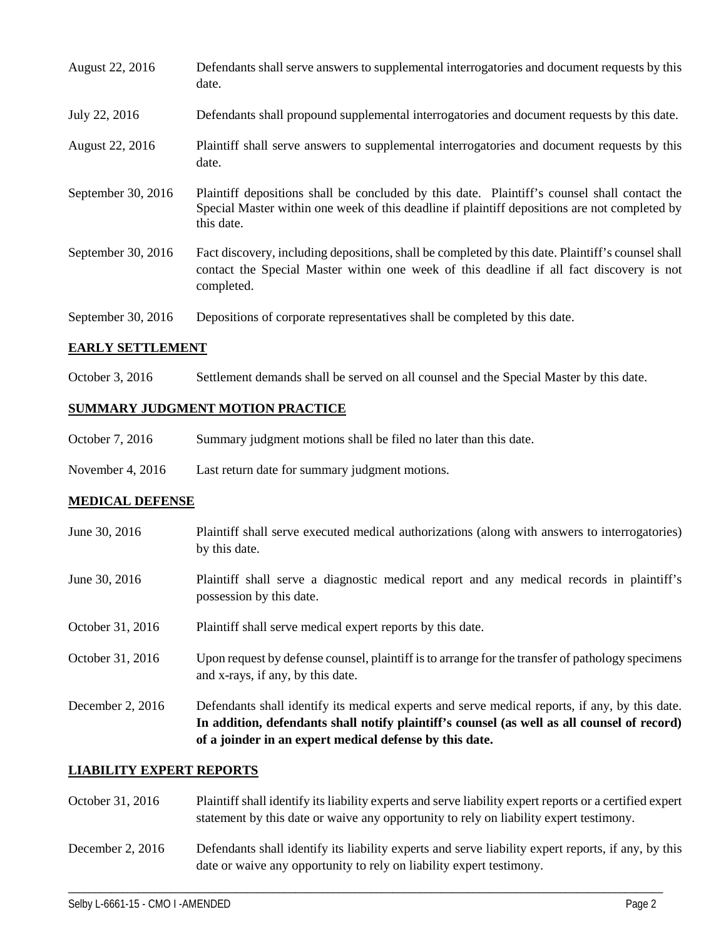| August 22, 2016    | Defendants shall serve answers to supplemental interrogatories and document requests by this<br>date.                                                                                                       |
|--------------------|-------------------------------------------------------------------------------------------------------------------------------------------------------------------------------------------------------------|
| July 22, 2016      | Defendants shall propound supplemental interrogatories and document requests by this date.                                                                                                                  |
| August 22, 2016    | Plaintiff shall serve answers to supplemental interrogatories and document requests by this<br>date.                                                                                                        |
| September 30, 2016 | Plaintiff depositions shall be concluded by this date. Plaintiff's counsel shall contact the<br>Special Master within one week of this deadline if plaintiff depositions are not completed by<br>this date. |
| September 30, 2016 | Fact discovery, including depositions, shall be completed by this date. Plaintiff's counsel shall<br>contact the Special Master within one week of this deadline if all fact discovery is not<br>completed. |
| September 30, 2016 | Depositions of corporate representatives shall be completed by this date.                                                                                                                                   |

#### **EARLY SETTLEMENT**

October 3, 2016 Settlement demands shall be served on all counsel and the Special Master by this date.

#### **SUMMARY JUDGMENT MOTION PRACTICE**

| October 7, 2016<br>Summary judgment motions shall be filed no later than this date. |  |
|-------------------------------------------------------------------------------------|--|
|-------------------------------------------------------------------------------------|--|

November 4, 2016 Last return date for summary judgment motions.

#### **MEDICAL DEFENSE**

- June 30, 2016 Plaintiff shall serve executed medical authorizations (along with answers to interrogatories) by this date. June 30, 2016 Plaintiff shall serve a diagnostic medical report and any medical records in plaintiff's possession by this date.
- October 31, 2016 Plaintiff shall serve medical expert reports by this date.
- October 31, 2016 Upon request by defense counsel, plaintiff is to arrange for the transfer of pathology specimens and x-rays, if any, by this date.
- December 2, 2016 Defendants shall identify its medical experts and serve medical reports, if any, by this date. **In addition, defendants shall notify plaintiff's counsel (as well as all counsel of record) of a joinder in an expert medical defense by this date.**

#### **LIABILITY EXPERT REPORTS**

- October 31, 2016 Plaintiff shall identify its liability experts and serve liability expert reports or a certified expert statement by this date or waive any opportunity to rely on liability expert testimony.
- December 2, 2016 Defendants shall identify its liability experts and serve liability expert reports, if any, by this date or waive any opportunity to rely on liability expert testimony.

\_\_\_\_\_\_\_\_\_\_\_\_\_\_\_\_\_\_\_\_\_\_\_\_\_\_\_\_\_\_\_\_\_\_\_\_\_\_\_\_\_\_\_\_\_\_\_\_\_\_\_\_\_\_\_\_\_\_\_\_\_\_\_\_\_\_\_\_\_\_\_\_\_\_\_\_\_\_\_\_\_\_\_\_\_\_\_\_\_\_\_\_\_\_\_\_\_\_\_\_\_\_\_\_\_\_\_\_\_\_